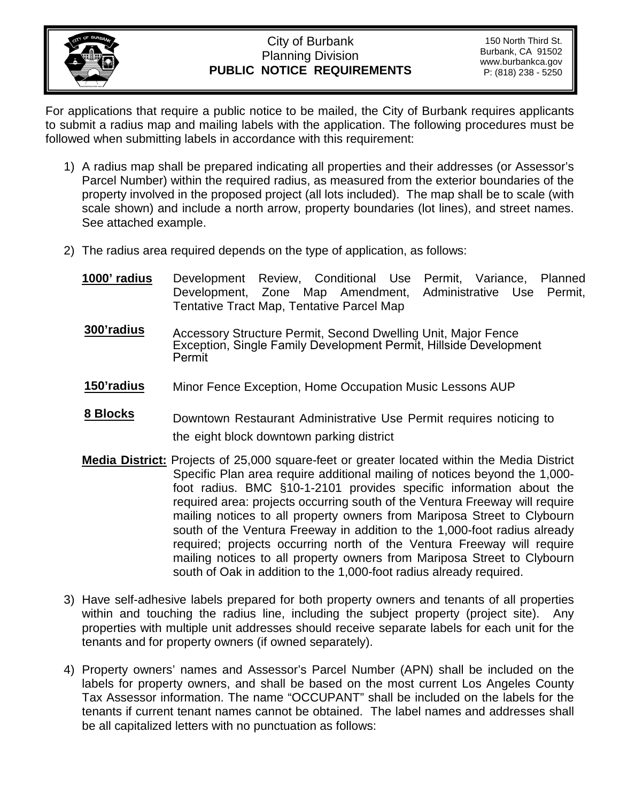

## City of Burbank Planning Division **PUBLIC NOTICE REQUIREMENTS**

For applications that require a public notice to be mailed, the City of Burbank requires applicants to submit a radius map and mailing labels with the application. The following procedures must be followed when submitting labels in accordance with this requirement:

- 1) A radius map shall be prepared indicating all properties and their addresses (or Assessor's Parcel Number) within the required radius, as measured from the exterior boundaries of the property involved in the proposed project (all lots included). The map shall be to scale (with scale shown) and include a north arrow, property boundaries (lot lines), and street names. See attached example.
- 2) The radius area required depends on the type of application, as follows:
	- **1000' radius** Development Review, Conditional Use Permit, Variance, Planned Development, Zone Map Amendment, Administrative Use Permit, Tentative Tract Map, Tentative Parcel Map
	- **300'radius** Accessory Structure Permit, Second Dwelling Unit, Major Fence Exception, Single Family Development Permit, Hillside Development Permit
	- **150'radius** Minor Fence Exception, Home Occupation Music Lessons AUP
	- **8 Blocks** Downtown Restaurant Administrative Use Permit requires noticing to the eight block downtown parking district
	- **Media District:** Projects of 25,000 square-feet or greater located within the Media District Specific Plan area require additional mailing of notices beyond the 1,000 foot radius. BMC §10-1-2101 provides specific information about the required area: projects occurring south of the Ventura Freeway will require mailing notices to all property owners from Mariposa Street to Clybourn south of the Ventura Freeway in addition to the 1,000-foot radius already required; projects occurring north of the Ventura Freeway will require mailing notices to all property owners from Mariposa Street to Clybourn south of Oak in addition to the 1,000-foot radius already required.
- 3) Have self-adhesive labels prepared for both property owners and tenants of all properties within and touching the radius line, including the subject property (project site). Any properties with multiple unit addresses should receive separate labels for each unit for the tenants and for property owners (if owned separately).
- 4) Property owners' names and Assessor's Parcel Number (APN) shall be included on the labels for property owners, and shall be based on the most current Los Angeles County Tax Assessor information. The name "OCCUPANT" shall be included on the labels for the tenants if current tenant names cannot be obtained. The label names and addresses shall be all capitalized letters with no punctuation as follows: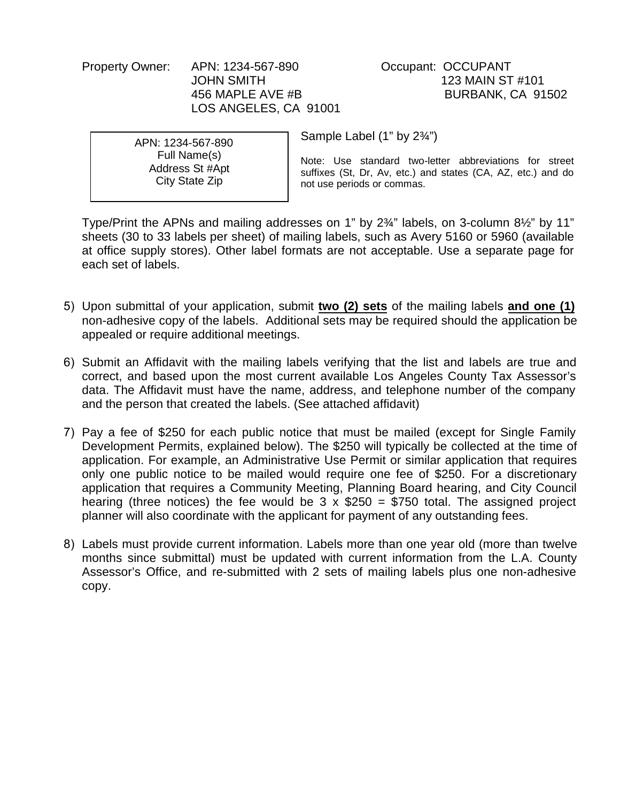Property Owner: APN: 1234-567-890 Occupant: OCCUPANT LOS ANGELES, CA 91001

JOHN SMITH 123 MAIN ST #101 456 MAPLE AVE #B BURBANK, CA 91502

APN: 1234-567-890 Full Name(s) Address St #Apt City State Zip

Sample Label (1" by 2¾")

Note: Use standard two-letter abbreviations for street suffixes (St, Dr, Av, etc.) and states (CA, AZ, etc.) and do not use periods or commas.

Type/Print the APNs and mailing addresses on 1" by 2¾" labels, on 3-column 8½" by 11" sheets (30 to 33 labels per sheet) of mailing labels, such as Avery 5160 or 5960 (available at office supply stores). Other label formats are not acceptable. Use a separate page for each set of labels.

- 5) Upon submittal of your application, submit **two (2) sets** of the mailing labels **and one (1)** non-adhesive copy of the labels. Additional sets may be required should the application be appealed or require additional meetings.
- 6) Submit an Affidavit with the mailing labels verifying that the list and labels are true and correct, and based upon the most current available Los Angeles County Tax Assessor's data. The Affidavit must have the name, address, and telephone number of the company and the person that created the labels. (See attached affidavit)
- 7) Pay a fee of \$250 for each public notice that must be mailed (except for Single Family Development Permits, explained below). The \$250 will typically be collected at the time of application. For example, an Administrative Use Permit or similar application that requires only one public notice to be mailed would require one fee of \$250. For a discretionary application that requires a Community Meeting, Planning Board hearing, and City Council hearing (three notices) the fee would be  $3 \times $250 = $750$  total. The assigned project planner will also coordinate with the applicant for payment of any outstanding fees.
- 8) Labels must provide current information. Labels more than one year old (more than twelve months since submittal) must be updated with current information from the L.A. County Assessor's Office, and re-submitted with 2 sets of mailing labels plus one non-adhesive copy.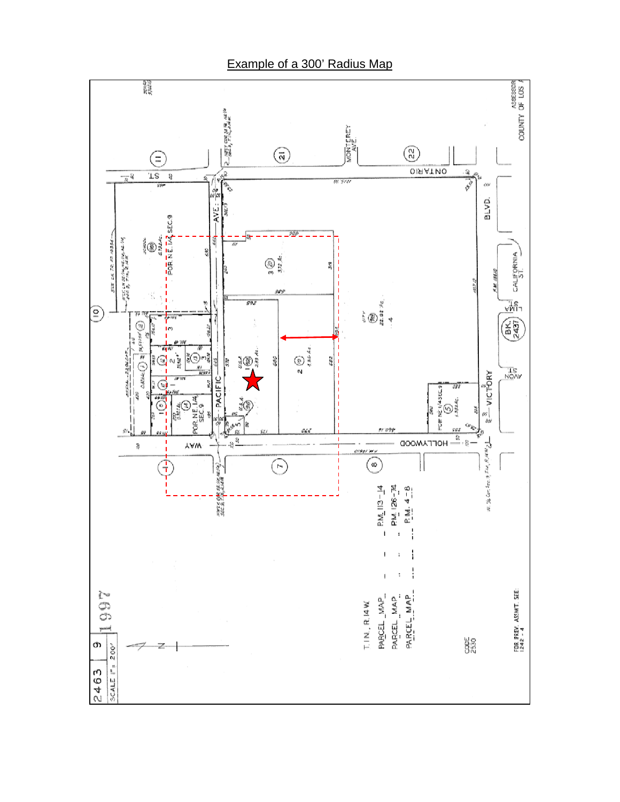

Example of a 300' Radius Map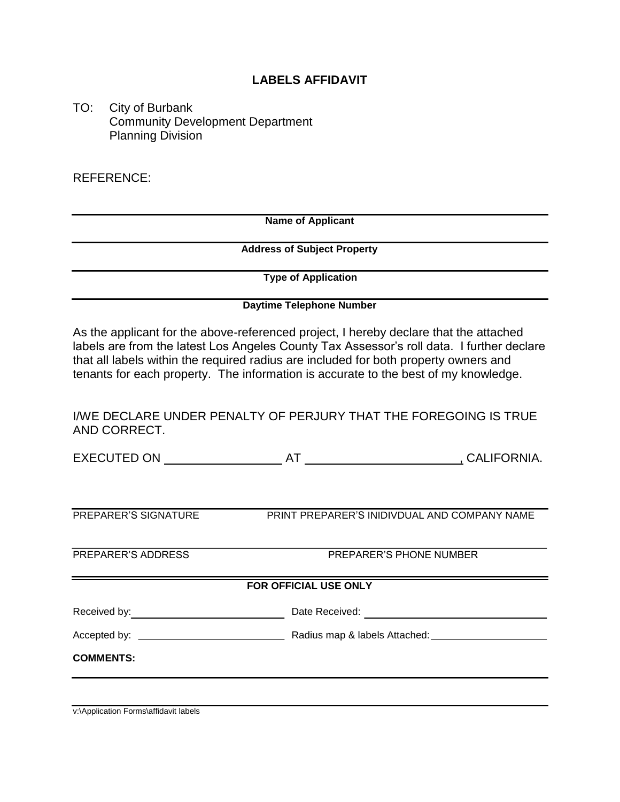### **LABELS AFFIDAVIT**

TO: City of Burbank Community Development Department Planning Division

REFERENCE:

**Name of Applicant** 

 **Address of Subject Property** 

 **Type of Application** 

#### **Daytime Telephone Number**

As the applicant for the above-referenced project, I hereby declare that the attached labels are from the latest Los Angeles County Tax Assessor's roll data. I further declare that all labels within the required radius are included for both property owners and tenants for each property. The information is accurate to the best of my knowledge.

I/WE DECLARE UNDER PENALTY OF PERJURY THAT THE FOREGOING IS TRUE AND CORRECT.

EXECUTED ON AT RESERVE A LOCALIFORNIA.

PREPARER'S SIGNATURE PRINT PREPARER'S INIDIVDUAL AND COMPANY NAME

PREPARER'S ADDRESS PREPARER'S PHONE NUMBER

#### **FOR OFFICIAL USE ONLY**

Received by: Note Received: Note Received: Note Received: Note Received: Note Received: Note All 2008. The Contract of the Contract of the Contract of the Contract of the Contract of the Contract of the Contract of the Con

Accepted by: Radius map & labels Attached:

**COMMENTS:** 

v:\Application Forms\affidavit labels